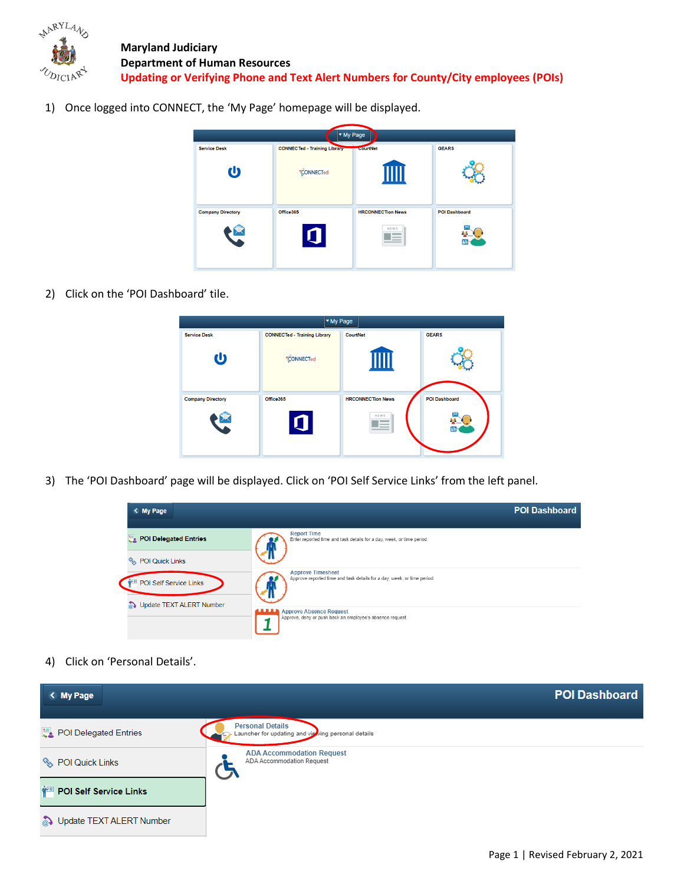

1) Once logged into CONNECT, the 'My Page' homepage will be displayed.



2) Click on the 'POI Dashboard' tile.



3) The 'POI Dashboard' page will be displayed. Click on 'POI Self Service Links' from the left panel.



4) Click on 'Personal Details'.

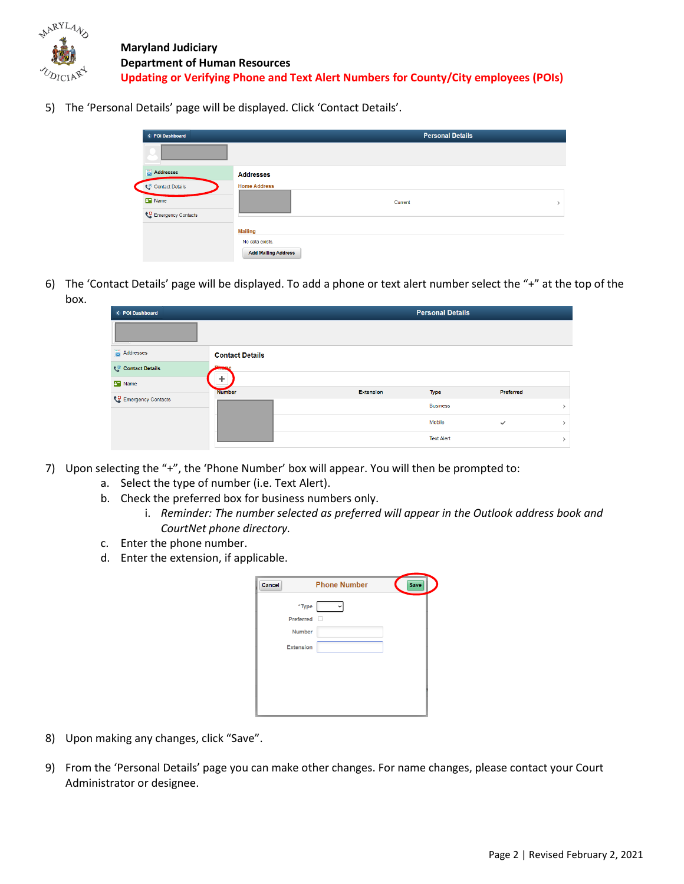

5) The 'Personal Details' page will be displayed. Click 'Contact Details'.

| < POI Dashboard    |                            | <b>Personal Details</b> |
|--------------------|----------------------------|-------------------------|
|                    |                            |                         |
| Addresses          | <b>Addresses</b>           |                         |
| Contact Details    | <b>Home Address</b>        |                         |
| <b>B</b> Name      | Current                    | $\mathcal{E}$           |
| Emergency Contacts |                            |                         |
|                    | <b>Mailing</b>             |                         |
|                    | No data exists.            |                         |
|                    | <b>Add Mailing Address</b> |                         |

6) The 'Contact Details' page will be displayed. To add a phone or text alert number select the "+" at the top of the box.

| < POI Dashboard    |                        |                  | <b>Personal Details</b> |              |  |
|--------------------|------------------------|------------------|-------------------------|--------------|--|
|                    |                        |                  |                         |              |  |
| Addresses          | <b>Contact Details</b> |                  |                         |              |  |
| Contact Details    |                        |                  |                         |              |  |
| <b>B</b> Name      |                        |                  |                         |              |  |
| Emergency Contacts | <b>Number</b>          | <b>Extension</b> | Type                    | Preferred    |  |
|                    |                        |                  | <b>Business</b>         |              |  |
|                    |                        |                  | Mobile                  | $\checkmark$ |  |
|                    |                        |                  | <b>Text Alert</b>       |              |  |

- 7) Upon selecting the "+", the 'Phone Number' box will appear. You will then be prompted to:
	- a. Select the type of number (i.e. Text Alert).
	- b. Check the preferred box for business numbers only.
		- i. *Reminder: The number selected as preferred will appear in the Outlook address book and CourtNet phone directory.*
	- c. Enter the phone number.
	- d. Enter the extension, if applicable.

| Cancel           | <b>Phone Number</b> | Save |
|------------------|---------------------|------|
| *Type            |                     |      |
| Preferred        |                     |      |
| <b>Number</b>    |                     |      |
| <b>Extension</b> |                     |      |
|                  |                     |      |
|                  |                     |      |
|                  |                     |      |
|                  |                     |      |
|                  |                     |      |

- 8) Upon making any changes, click "Save".
- 9) From the 'Personal Details' page you can make other changes. For name changes, please contact your Court Administrator or designee.